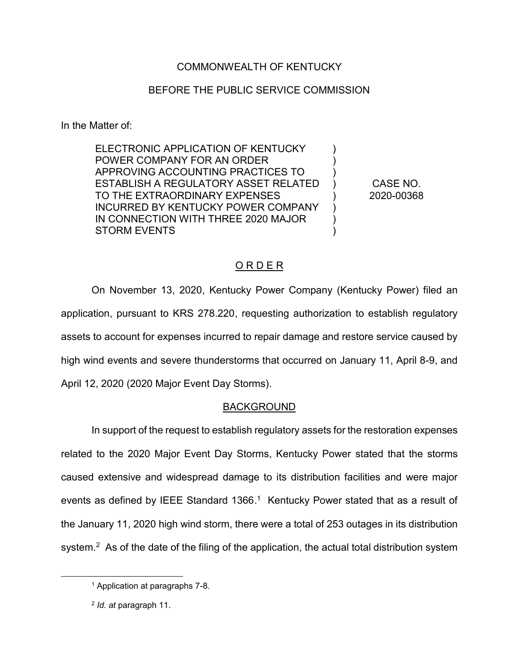## COMMONWEALTH OF KENTUCKY

## BEFORE THE PUBLIC SERVICE COMMISSION

In the Matter of:

ELECTRONIC APPLICATION OF KENTUCKY POWER COMPANY FOR AN ORDER APPROVING ACCOUNTING PRACTICES TO ESTABLISH A REGULATORY ASSET RELATED TO THE EXTRAORDINARY EXPENSES INCURRED BY KENTUCKY POWER COMPANY IN CONNECTION WITH THREE 2020 MAJOR STORM EVENTS ) ) ) ) ) ) )  $\lambda$ 

CASE NO. 2020-00368

## O R D E R

On November 13, 2020, Kentucky Power Company (Kentucky Power) filed an application, pursuant to KRS 278.220, requesting authorization to establish regulatory assets to account for expenses incurred to repair damage and restore service caused by high wind events and severe thunderstorms that occurred on January 11, April 8-9, and April 12, 2020 (2020 Major Event Day Storms).

## BACKGROUND

In support of the request to establish regulatory assets for the restoration expenses related to the 2020 Major Event Day Storms, Kentucky Power stated that the storms caused extensive and widespread damage to its distribution facilities and were major events as defined by IEEE Standard 1366.<sup>1</sup> Kentucky Power stated that as a result of the January 11, 2020 high wind storm, there were a total of 253 outages in its distribution system.<sup>2</sup> As of the date of the filing of the application, the actual total distribution system

 <sup>1</sup> Application at paragraphs 7-8.

<sup>2</sup> *Id. at* paragraph 11.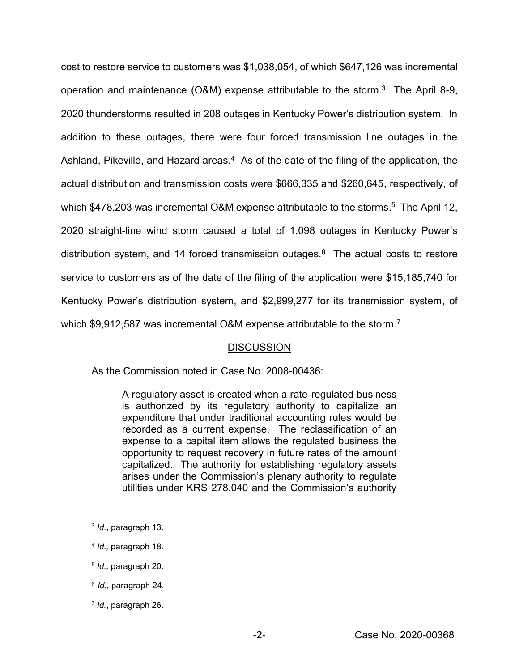cost to restore service to customers was \$1,038,054, of which \$647,126 was incremental operation and maintenance (O&M) expense attributable to the storm.<sup>3</sup> The April 8-9, 2020 thunderstorms resulted in 208 outages in Kentucky Power's distribution system. In addition to these outages, there were four forced transmission line outages in the Ashland, Pikeville, and Hazard areas.<sup>4</sup> As of the date of the filing of the application, the actual distribution and transmission costs were \$666,335 and \$260,645, respectively, of which \$478,203 was incremental O&M expense attributable to the storms.<sup>5</sup> The April 12, 2020 straight-line wind storm caused a total of 1,098 outages in Kentucky Power's distribution system, and 14 forced transmission outages.<sup>6</sup> The actual costs to restore service to customers as of the date of the filing of the application were \$15,185,740 for Kentucky Power's distribution system, and \$2,999,277 for its transmission system, of which \$9,912,587 was incremental O&M expense attributable to the storm.<sup>7</sup>

#### **DISCUSSION**

As the Commission noted in Case No. 2008-00436:

A regulatory asset is created when a rate-regulated business is authorized by its regulatory authority to capitalize an expenditure that under traditional accounting rules would be recorded as a current expense. The reclassification of an expense to a capital item allows the regulated business the opportunity to request recovery in future rates of the amount capitalized. The authority for establishing regulatory assets arises under the Commission's plenary authority to regulate utilities under KRS 278.040 and the Commission's authority

 $\overline{a}$ 

- <sup>6</sup> *Id.,* paragraph 24*.*
- <sup>7</sup> *Id.*, paragraph 26.

<sup>3</sup> *Id.*, paragraph 13.

<sup>4</sup> *Id.,* paragraph 18.

<sup>5</sup> *Id.,* paragraph 20.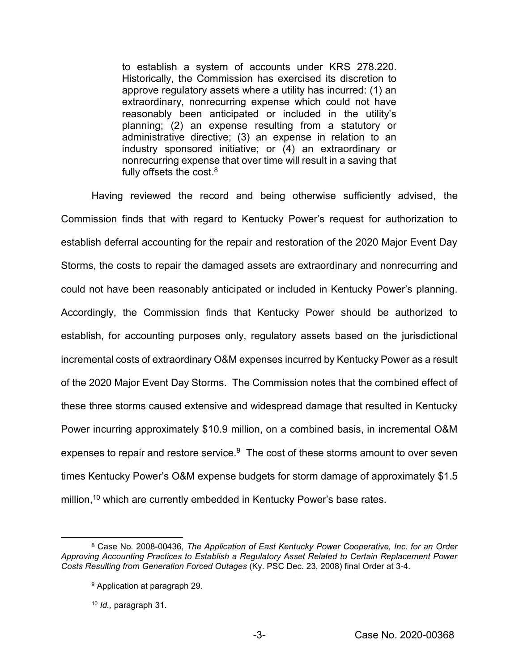to establish a system of accounts under KRS 278.220. Historically, the Commission has exercised its discretion to approve regulatory assets where a utility has incurred: (1) an extraordinary, nonrecurring expense which could not have reasonably been anticipated or included in the utility's planning; (2) an expense resulting from a statutory or administrative directive; (3) an expense in relation to an industry sponsored initiative; or (4) an extraordinary or nonrecurring expense that over time will result in a saving that fully offsets the cost. $8$ 

Having reviewed the record and being otherwise sufficiently advised, the Commission finds that with regard to Kentucky Power's request for authorization to establish deferral accounting for the repair and restoration of the 2020 Major Event Day Storms, the costs to repair the damaged assets are extraordinary and nonrecurring and could not have been reasonably anticipated or included in Kentucky Power's planning. Accordingly, the Commission finds that Kentucky Power should be authorized to establish, for accounting purposes only, regulatory assets based on the jurisdictional incremental costs of extraordinary O&M expenses incurred by Kentucky Power as a result of the 2020 Major Event Day Storms. The Commission notes that the combined effect of these three storms caused extensive and widespread damage that resulted in Kentucky Power incurring approximately \$10.9 million, on a combined basis, in incremental O&M expenses to repair and restore service.<sup>9</sup> The cost of these storms amount to over seven times Kentucky Power's O&M expense budgets for storm damage of approximately \$1.5 million,<sup>10</sup> which are currently embedded in Kentucky Power's base rates.

 <sup>8</sup> Case No. 2008-00436, *The Application of East Kentucky Power Cooperative, Inc. for an Order Approving Accounting Practices to Establish a Regulatory Asset Related to Certain Replacement Power Costs Resulting from Generation Forced Outages* (Ky. PSC Dec. 23, 2008) final Order at 3-4.

<sup>9</sup> Application at paragraph 29.

<sup>10</sup> *Id.,* paragraph 31.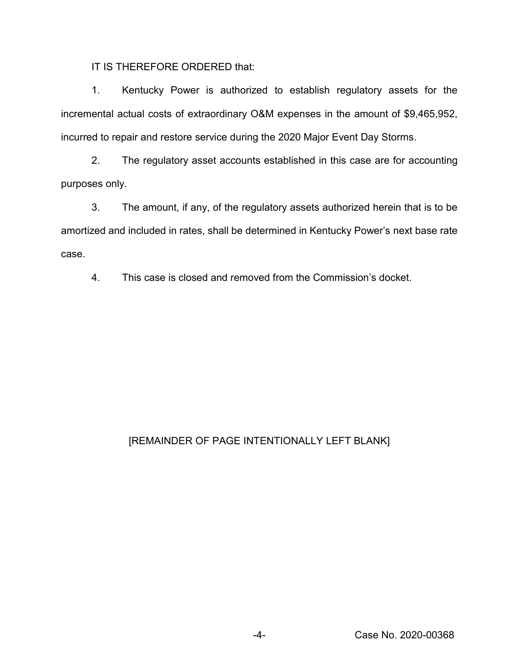IT IS THEREFORE ORDERED that:

1. Kentucky Power is authorized to establish regulatory assets for the incremental actual costs of extraordinary O&M expenses in the amount of \$9,465,952, incurred to repair and restore service during the 2020 Major Event Day Storms.

2. The regulatory asset accounts established in this case are for accounting purposes only.

3. The amount, if any, of the regulatory assets authorized herein that is to be amortized and included in rates, shall be determined in Kentucky Power's next base rate case.

4. This case is closed and removed from the Commission's docket.

# [REMAINDER OF PAGE INTENTIONALLY LEFT BLANK]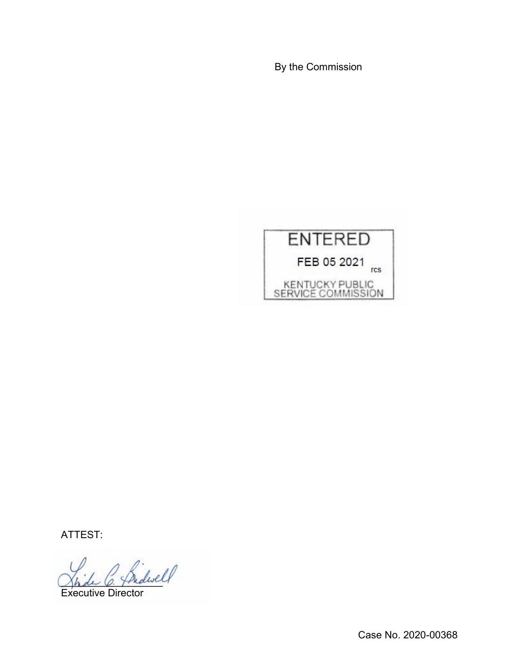By the Commission



ATTEST:

Indwell

Executive Director

Case No. 2020-00368